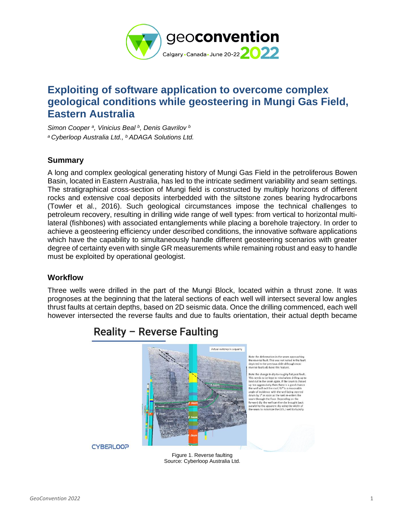

# **Exploiting of software application to overcome complex geological conditions while geosteering in Mungi Gas Field, Eastern Australia**

*Simon Cooper <sup>a</sup> , Vinicius Beal <sup>b</sup> , Denis Gavrilov <sup>b</sup> <sup>a</sup> Cyberloop Australia Ltd., <sup>b</sup> ADAGA Solutions Ltd.*

### **Summary**

A long and complex geological generating history of Mungi Gas Field in the petroliferous Bowen Basin, located in Eastern Australia, has led to the intricate sediment variability and seam settings. The stratigraphical cross-section of Mungi field is constructed by multiply horizons of different rocks and extensive coal deposits interbedded with the siltstone zones bearing hydrocarbons (Towler et al., 2016). Such geological circumstances impose the technical challenges to petroleum recovery, resulting in drilling wide range of well types: from vertical to horizontal multilateral (fishbones) with associated entanglements while placing a borehole trajectory. In order to achieve a geosteering efficiency under described conditions, the innovative software applications which have the capability to simultaneously handle different geosteering scenarios with greater degree of certainty even with single GR measurements while remaining robust and easy to handle must be exploited by operational geologist.

### **Workflow**

Three wells were drilled in the part of the Mungi Block, located within a thrust zone. It was prognoses at the beginning that the lateral sections of each well will intersect several low angles thrust faults at certain depths, based on 2D seismic data. Once the drilling commenced, each well however intersected the reverse faults and due to faults orientation, their actual depth became



# Reality - Reverse Faulting

Figure 1. Reverse faulting Source: Cyberloop Australia Ltd.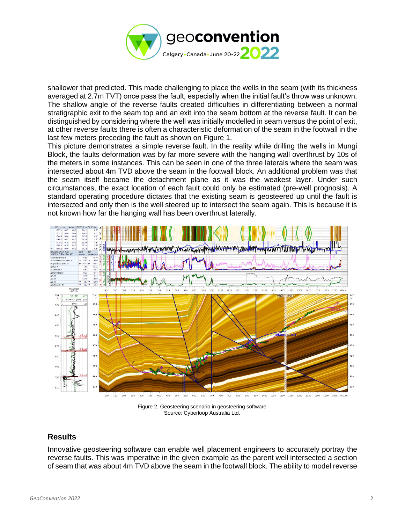

shallower that predicted. This made challenging to place the wells in the seam (with its thickness averaged at 2.7m TVT) once pass the fault, especially when the initial fault's throw was unknown. The shallow angle of the reverse faults created difficulties in differentiating between a normal stratigraphic exit to the seam top and an exit into the seam bottom at the reverse fault. It can be distinguished by considering where the well was initially modelled in seam versus the point of exit, at other reverse faults there is often a characteristic deformation of the seam in the footwall in the last few meters preceding the fault as shown on Figure 1.

This picture demonstrates a simple reverse fault. In the reality while drilling the wells in Mungi Block, the faults deformation was by far more severe with the hanging wall overthrust by 10s of the meters in some instances. This can be seen in one of the three laterals where the seam was intersected about 4m TVD above the seam in the footwall block. An additional problem was that the seam itself became the detachment plane as it was the weakest layer. Under such circumstances, the exact location of each fault could only be estimated (pre-well prognosis). A standard operating procedure dictates that the existing seam is geosteered up until the fault is intersected and only then is the well steered up to intersect the seam again. This is because it is not known how far the hanging wall has been overthrust laterally.



Figure 2. Geosteering scenario in geosteering software Source: Cyberloop Australia Ltd.

## **Results**

Innovative geosteering software can enable well placement engineers to accurately portray the reverse faults. This was imperative in the given example as the parent well intersected a section of seam that was about 4m TVD above the seam in the footwall block. The ability to model reverse